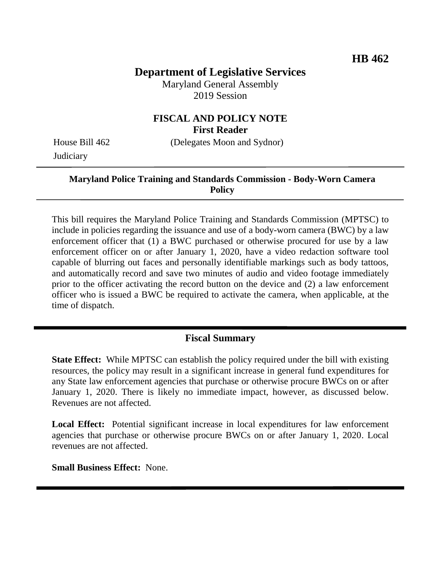# **Department of Legislative Services**

Maryland General Assembly 2019 Session

#### **FISCAL AND POLICY NOTE First Reader**

**Judiciary** 

House Bill 462 (Delegates Moon and Sydnor)

## **Maryland Police Training and Standards Commission - Body-Worn Camera Policy**

This bill requires the Maryland Police Training and Standards Commission (MPTSC) to include in policies regarding the issuance and use of a body-worn camera (BWC) by a law enforcement officer that (1) a BWC purchased or otherwise procured for use by a law enforcement officer on or after January 1, 2020, have a video redaction software tool capable of blurring out faces and personally identifiable markings such as body tattoos, and automatically record and save two minutes of audio and video footage immediately prior to the officer activating the record button on the device and (2) a law enforcement officer who is issued a BWC be required to activate the camera, when applicable, at the time of dispatch.

# **Fiscal Summary**

**State Effect:** While MPTSC can establish the policy required under the bill with existing resources, the policy may result in a significant increase in general fund expenditures for any State law enforcement agencies that purchase or otherwise procure BWCs on or after January 1, 2020. There is likely no immediate impact, however, as discussed below. Revenues are not affected.

Local Effect: Potential significant increase in local expenditures for law enforcement agencies that purchase or otherwise procure BWCs on or after January 1, 2020. Local revenues are not affected.

**Small Business Effect:** None.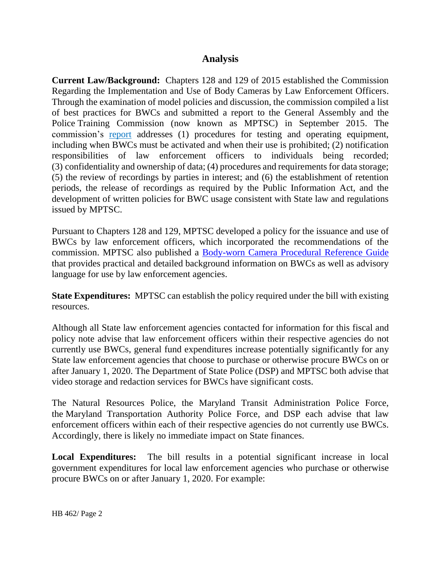## **Analysis**

**Current Law/Background:** Chapters 128 and 129 of 2015 established the Commission Regarding the Implementation and Use of Body Cameras by Law Enforcement Officers. Through the examination of model policies and discussion, the commission compiled a list of best practices for BWCs and submitted a report to the General Assembly and the Police Training Commission (now known as MPTSC) in September 2015. The commission's [report](http://dlslibrary.state.md.us/publications/Exec/GOCCP/HB533Ch129(2)_2015.pdf) addresses (1) procedures for testing and operating equipment, including when BWCs must be activated and when their use is prohibited; (2) notification responsibilities of law enforcement officers to individuals being recorded; (3) confidentiality and ownership of data; (4) procedures and requirements for data storage; (5) the review of recordings by parties in interest; and (6) the establishment of retention periods, the release of recordings as required by the Public Information Act, and the development of written policies for BWC usage consistent with State law and regulations issued by MPTSC.

Pursuant to Chapters 128 and 129, MPTSC developed a policy for the issuance and use of BWCs by law enforcement officers, which incorporated the recommendations of the commission. MPTSC also published a [Body-worn Camera Procedural Reference Guide](http://www.mdle.net/pdf/Body-worn_Camera_Procedural_Reference_Guide.pdf) that provides practical and detailed background information on BWCs as well as advisory language for use by law enforcement agencies.

**State Expenditures:** MPTSC can establish the policy required under the bill with existing resources.

Although all State law enforcement agencies contacted for information for this fiscal and policy note advise that law enforcement officers within their respective agencies do not currently use BWCs, general fund expenditures increase potentially significantly for any State law enforcement agencies that choose to purchase or otherwise procure BWCs on or after January 1, 2020. The Department of State Police (DSP) and MPTSC both advise that video storage and redaction services for BWCs have significant costs.

The Natural Resources Police, the Maryland Transit Administration Police Force, the Maryland Transportation Authority Police Force, and DSP each advise that law enforcement officers within each of their respective agencies do not currently use BWCs. Accordingly, there is likely no immediate impact on State finances.

**Local Expenditures:** The bill results in a potential significant increase in local government expenditures for local law enforcement agencies who purchase or otherwise procure BWCs on or after January 1, 2020. For example: